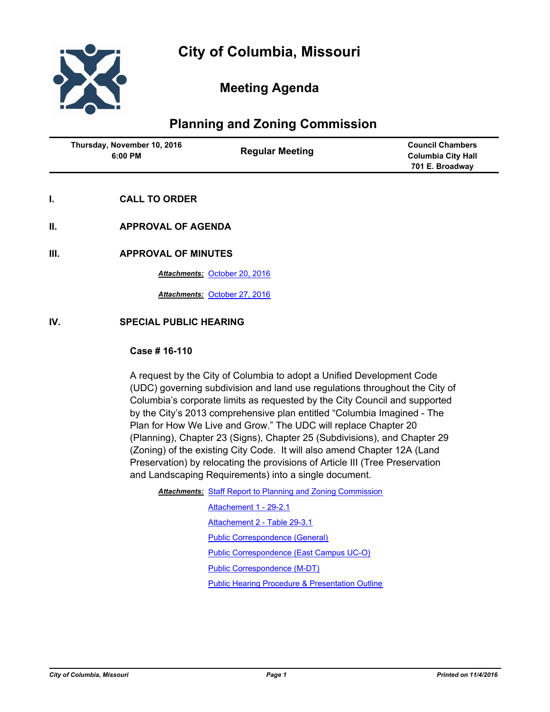

# **Meeting Agenda**

# **Planning and Zoning Commission**

| Thursday, November 10, 2016 | <b>Council Chambers</b>   |
|-----------------------------|---------------------------|
| <b>Regular Meeting</b>      | <b>Columbia City Hall</b> |
| 6:00 PM                     | 701 E. Broadway           |

- **I. CALL TO ORDER**
- **II. APPROVAL OF AGENDA**

## **III. APPROVAL OF MINUTES**

*Attachments:* [October 20, 2016](http://gocolumbiamo.legistar.com/gateway.aspx?M=F&ID=24cdb897-04ab-4a6d-a3ea-4f065b846326.docx)

*Attachments:* [October 27, 2016](http://gocolumbiamo.legistar.com/gateway.aspx?M=F&ID=4d4bc13d-86d5-4b8e-8537-89cdd43f5f70.docx)

## **IV. SPECIAL PUBLIC HEARING**

#### **Case # 16-110**

A request by the City of Columbia to adopt a Unified Development Code (UDC) governing subdivision and land use regulations throughout the City of Columbia's corporate limits as requested by the City Council and supported by the City's 2013 comprehensive plan entitled "Columbia Imagined - The Plan for How We Live and Grow." The UDC will replace Chapter 20 (Planning), Chapter 23 (Signs), Chapter 25 (Subdivisions), and Chapter 29 (Zoning) of the existing City Code. It will also amend Chapter 12A (Land Preservation) by relocating the provisions of Article III (Tree Preservation and Landscaping Requirements) into a single document.

Attachments: [Staff Report to Planning and Zoning Commission](http://gocolumbiamo.legistar.com/gateway.aspx?M=F&ID=142ea5ac-42a7-41b9-95d9-7d6fdba12d01.doc)

[Attachement 1 - 29-2.1](http://gocolumbiamo.legistar.com/gateway.aspx?M=F&ID=41bc09a9-2b77-4ccf-9dd0-429df95e6f16.pdf) [Attachement 2 - Table 29-3.1](http://gocolumbiamo.legistar.com/gateway.aspx?M=F&ID=0910b813-ef65-42d8-83f6-558e399e083e.pdf) [Public Correspondence \(General\)](http://gocolumbiamo.legistar.com/gateway.aspx?M=F&ID=eca6c09e-5cce-4b6c-aa0e-b9c27ef598d7.pdf) [Public Correspondence \(East Campus UC-O\)](http://gocolumbiamo.legistar.com/gateway.aspx?M=F&ID=7603da1c-a7c3-4a6a-afe5-a7eeebae7cd6.pdf) [Public Correspondence \(M-DT\)](http://gocolumbiamo.legistar.com/gateway.aspx?M=F&ID=584a5b0e-67d2-41eb-b101-f434af95196c.pdf) [Public Hearing Procedure & Presentation Outline](http://gocolumbiamo.legistar.com/gateway.aspx?M=F&ID=724a2231-efed-4964-baae-09b4072dc412.docx)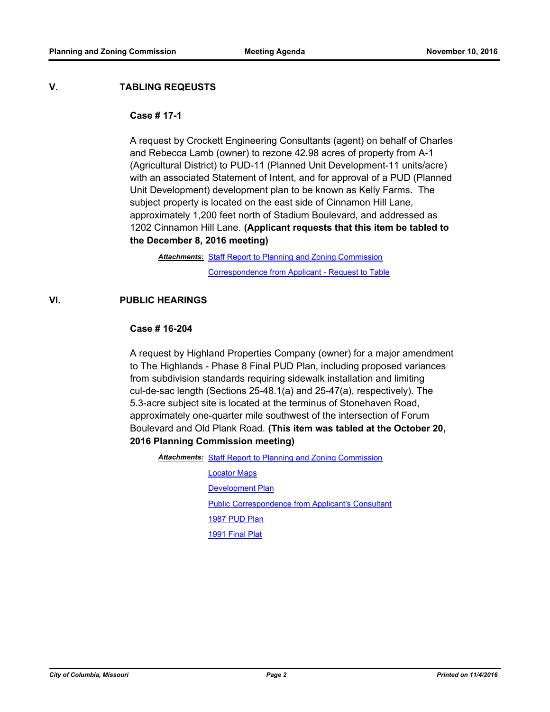## **V. TABLING REQEUSTS**

#### **Case # 17-1**

A request by Crockett Engineering Consultants (agent) on behalf of Charles and Rebecca Lamb (owner) to rezone 42.98 acres of property from A-1 (Agricultural District) to PUD-11 (Planned Unit Development-11 units/acre) with an associated Statement of Intent, and for approval of a PUD (Planned Unit Development) development plan to be known as Kelly Farms. The subject property is located on the east side of Cinnamon Hill Lane, approximately 1,200 feet north of Stadium Boulevard, and addressed as 1202 Cinnamon Hill Lane. **(Applicant requests that this item be tabled to the December 8, 2016 meeting)**

Attachments: [Staff Report to Planning and Zoning Commission](http://gocolumbiamo.legistar.com/gateway.aspx?M=F&ID=16bc3cef-b6d0-4aaa-b972-8face045e332.pdf) [Correspondence from Applicant - Request to Table](http://gocolumbiamo.legistar.com/gateway.aspx?M=F&ID=059fd41f-a176-40cb-ae25-b60935065e9e.pdf)

## **VI. PUBLIC HEARINGS**

## **Case # 16-204**

A request by Highland Properties Company (owner) for a major amendment to The Highlands - Phase 8 Final PUD Plan, including proposed variances from subdivision standards requiring sidewalk installation and limiting cul-de-sac length (Sections 25-48.1(a) and 25-47(a), respectively). The 5.3-acre subject site is located at the terminus of Stonehaven Road, approximately one-quarter mile southwest of the intersection of Forum Boulevard and Old Plank Road. **(This item was tabled at the October 20, 2016 Planning Commission meeting)**

Attachments: [Staff Report to Planning and Zoning Commission](http://gocolumbiamo.legistar.com/gateway.aspx?M=F&ID=b845f1b8-dab9-4044-b434-4e3ba81437a1.pdf)

[Locator Maps](http://gocolumbiamo.legistar.com/gateway.aspx?M=F&ID=668bb30d-aac0-47d3-9d61-fc174f3fe6b0.pdf) **[Development Plan](http://gocolumbiamo.legistar.com/gateway.aspx?M=F&ID=0c1f3e17-1b03-4a3e-a580-9588b72a41ba.pdf)** [Public Correspondence from Applicant's Consultant](http://gocolumbiamo.legistar.com/gateway.aspx?M=F&ID=d8b3affc-aba5-4f64-b613-122286598c10.pdf) [1987 PUD Plan](http://gocolumbiamo.legistar.com/gateway.aspx?M=F&ID=f4b0fdfe-a170-4542-bfa0-50e33d64c413.pdf) [1991 Final Plat](http://gocolumbiamo.legistar.com/gateway.aspx?M=F&ID=0f69f389-03ba-4f8d-9b22-c78ea8bba574.pdf)